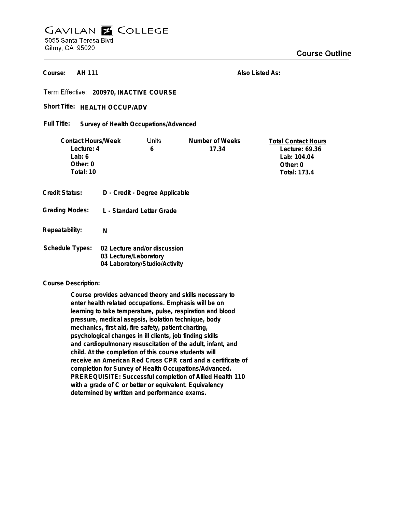## **GAVILAN E COLLEGE** 5055 Santa Teresa Blvd Gilroy, CA 95020

**AH 111 Course:**

**Also Listed As:**

**200970, INACTIVE COURSE**

Short Title: HEALTH OCCUP/ADV

**Survey of Health Occupations/Advanced Full Title:**

| <b>Contact Hours/Week</b> |                                                                                        | Units                          | Number of Weeks | <b>Total Contact Hours</b> |
|---------------------------|----------------------------------------------------------------------------------------|--------------------------------|-----------------|----------------------------|
| Lecture: 4                |                                                                                        | 6                              | 17.34           | Lecture: 69.36             |
| Lab: $6$                  |                                                                                        |                                |                 | Lab: 104.04                |
| Other: $0$                |                                                                                        |                                |                 | Other: 0                   |
| Total: 10                 |                                                                                        |                                |                 | Total: 173.4               |
|                           |                                                                                        |                                |                 |                            |
| Credit Status:            |                                                                                        | D - Credit - Degree Applicable |                 |                            |
| <b>Grading Modes:</b>     | L - Standard Letter Grade                                                              |                                |                 |                            |
| Repeatability:            | N                                                                                      |                                |                 |                            |
| <b>Schedule Types:</b>    | 02 Lecture and/or discussion<br>03 Lecture/Laboratory<br>04 Laboratory/Studio/Activity |                                |                 |                            |

**Course Description:**

**Course provides advanced theory and skills necessary to enter health related occupations. Emphasis will be on learning to take temperature, pulse, respiration and blood pressure, medical asepsis, isolation technique, body mechanics, first aid, fire safety, patient charting, psychological changes in ill clients, job finding skills and cardiopulmonary resuscitation of the adult, infant, and child. At the completion of this course students will receive an American Red Cross CPR card and a certificate of completion for Survey of Health Occupations/Advanced. PREREQUISITE: Successful completion of Allied Health 110 with a grade of C or better or equivalent. Equivalency determined by written and performance exams.**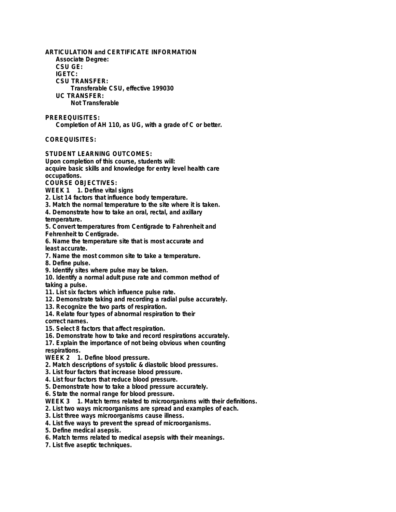**ARTICULATION and CERTIFICATE INFORMATION Associate Degree: CSU GE: IGETC: CSU TRANSFER: Transferable CSU, effective 199030 UC TRANSFER: Not Transferable**

**PREREQUISITES: Completion of AH 110, as UG, with a grade of C or better.**

**COREQUISITES:**

**STUDENT LEARNING OUTCOMES:**

**Upon completion of this course, students will: acquire basic skills and knowledge for entry level health care occupations.**

**COURSE OBJECTIVES:**

**WEEK 1 1. Define vital signs**

**2. List 14 factors that influence body temperature.**

**3. Match the normal temperature to the site where it is taken.**

**4. Demonstrate how to take an oral, rectal, and axillary temperature.**

**5. Convert temperatures from Centigrade to Fahrenheit and Fehrenheit to Centigrade.**

**6. Name the temperature site that is most accurate and least accurate.**

**7. Name the most common site to take a temperature.**

**8. Define pulse.**

**9. Identify sites where pulse may be taken.**

**10. Identify a normal adult puse rate and common method of taking a pulse.**

**11. List six factors which influence pulse rate.**

**12. Demonstrate taking and recording a radial pulse accurately.**

**13. Recognize the two parts of respiration.**

**14. Relate four types of abnormal respiration to their**

**correct names.**

**15. Select 8 factors that affect respiration.**

**16. Demonstrate how to take and record respirations accurately.**

**17. Explain the importance of not being obvious when counting respirations.**

**WEEK 2 1. Define blood pressure.**

**2. Match descriptions of systolic & diastolic blood pressures.**

**3. List four factors that increase blood pressure.**

**4. List four factors that reduce blood pressure.**

**5. Demonstrate how to take a blood pressure accurately.**

**6. State the normal range for blood pressure.**

**WEEK 3 1. Match terms related to microorganisms with their definitions.**

**2. List two ways microorganisms are spread and examples of each.**

**3. List three ways microorganisms cause illness.**

**4. List five ways to prevent the spread of microorganisms.**

**5. Define medical asepsis.**

**6. Match terms related to medical asepsis with their meanings.**

**7. List five aseptic techniques.**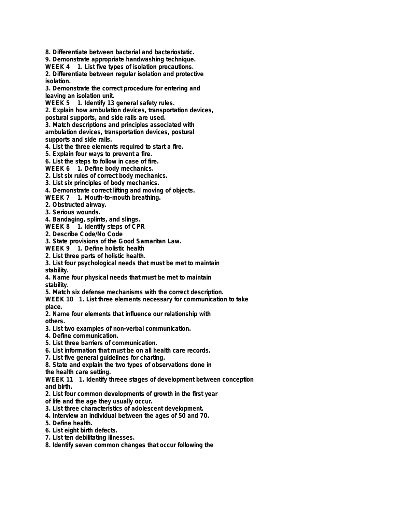**8. Differentiate between bacterial and bacteriostatic.**

**9. Demonstrate appropriate handwashing technique.**

**WEEK 4 1. List five types of isolation precautions.**

**2. Differentiate between regular isolation and protective isolation.**

**3. Demonstrate the correct procedure for entering and leaving an isolation unit.**

**WEEK 5 1. Identify 13 general safety rules.**

**2. Explain how ambulation devices, transportation devices,**

**postural supports, and side rails are used.**

**3. Match descriptions and principles associated with ambulation devices, transportation devices, postural**

**supports and side rails.**

**4. List the three elements required to start a fire.**

**5. Explain four ways to prevent a fire.**

**6. List the steps to follow in case of fire.**

**WEEK 6 1. Define body mechanics.**

**2. List six rules of correct body mechanics.**

**3. List six principles of body mechanics.**

**4. Demonstrate correct lifting and moving of objects.**

**WEEK 7 1. Mouth-to-mouth breathing.**

**2. Obstructed airway.**

**3. Serious wounds.**

**4. Bandaging, splints, and slings.**

**WEEK 8 1. Identify steps of CPR**

**2. Describe Code/No Code**

**3. State provisions of the Good Samaritan Law.**

**WEEK 9 1. Define holistic health**

**2. List three parts of holistic health.**

**3. List four psychological needs that must be met to maintain stability.**

**4. Name four physical needs that must be met to maintain stability.**

**5. Match six defense mechanisms with the correct description.**

**WEEK 10 1. List three elements necessary for communication to take place.**

**2. Name four elements that influence our relationship with others.**

**3. List two examples of non-verbal communication.**

**4. Define communication.**

**5. List three barriers of communication.**

**6. List information that must be on all health care records.**

**7. List five general guidelines for charting.**

**8. State and explain the two types of observations done in**

**the health care setting.**

**WEEK 11 1. Identify threee stages of development between conception and birth.**

**2. List four common developments of growth in the first year**

**of life and the age they usually occur.**

**3. List three characteristics of adolescent development.**

**4. Interview an individual between the ages of 50 and 70.**

**5. Define health.**

**6. List eight birth defects.**

**7. List ten debilitating illnesses.**

**8. Identify seven common changes that occur following the**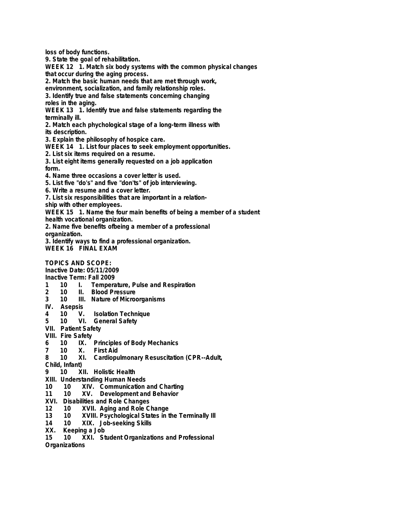**loss of body functions.**

**9. State the goal of rehabilitation.**

**WEEK 12 1. Match six body systems with the common physical changes that occur during the aging process.**

**2. Match the basic human needs that are met through work,**

**environment, socialization, and family relationship roles.**

**3. Identify true and false statements concerning changing roles in the aging.**

**WEEK 13 1. Identify true and false statements regarding the terminally ill.**

**2. Match each phychological stage of a long-term illness with its description.**

**3. Explain the philosophy of hospice care.**

**WEEK 14 1. List four places to seek employment opportunities.**

**2. List six items required on a resume.**

**3. List eight items generally requested on a job application form.**

**4. Name three occasions a cover letter is used.**

**5. List five "do's" and five "don'ts" of job interviewing.**

**6. Write a resume and a cover letter.**

**7. List six responsibilities that are important in a relation-**

**ship with other employees.**

**WEEK 15 1. Name the four main benefits of being a member of a student**

**health vocational organization.**

**2. Name five benefits ofbeing a member of a professional**

**organization.**

**3. Identify ways to find a professional organization. WEEK 16 FINAL EXAM**

**TOPICS AND SCOPE:**

**Inactive Date: 05/11/2009**

**Inactive Term: Fall 2009**

- **1 10 I. Temperature, Pulse and Respiration**
- **2 10 II. Blood Pressure**
- **III.** Nature of Microorganisms
- **IV. Asepsis**
- **4 10 V. Isolation Technique**
- **5 10 VI. General Safety**
- **VII. Patient Safety**
- **VIII. Fire Safety**
- **6 10 IX. Principles of Body Mechanics**
- **7 10 X. First Aid**
- **8 10 XI. Cardiopulmonary Resuscitation (CPR--Adult,**

**Child, Infant)**

- **9 10 XII. Holistic Health**
- **XIII. Understanding Human Needs**
- **10 10 XIV. Communication and Charting**
- **11 10 XV. Development and Behavior**
- **XVI. Disabilities and Role Changes**
- **12 10 XVII. Aging and Role Change**
- **13 10 XVIII. Psychological States in the Terminally Ill**
- **14 10 XIX. Job-seeking Skills**
- **Keeping a Job**
- **15 10 XXI. Student Organizations and Professional**

**Organizations**